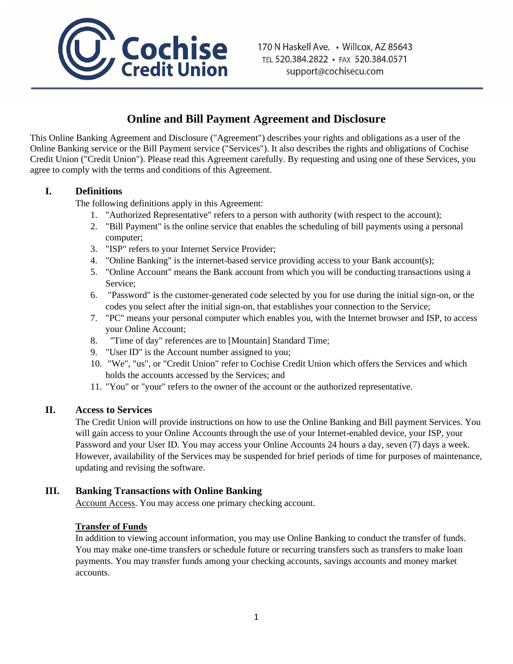

# **Online and Bill Payment Agreement and Disclosure**

This Online Banking Agreement and Disclosure ("Agreement") describes your rights and obligations as a user of the Online Banking service or the Bill Payment service ("Services"). It also describes the rights and obligations of Cochise Credit Union ("Credit Union"). Please read this Agreement carefully. By requesting and using one of these Services, you agree to comply with the terms and conditions of this Agreement.

# **I. Definitions**

The following definitions apply in this Agreement:

- 1. "Authorized Representative" refers to a person with authority (with respect to the account);
- 2. "Bill Payment" is the online service that enables the scheduling of bill payments using a personal computer;
- 3. "ISP" refers to your Internet Service Provider;
- 4. "Online Banking" is the internet-based service providing access to your Bank account(s);
- 5. "Online Account" means the Bank account from which you will be conducting transactions using a Service;
- 6. "Password" is the customer-generated code selected by you for use during the initial sign-on, or the codes you select after the initial sign-on, that establishes your connection to the Service;
- 7. "PC" means your personal computer which enables you, with the Internet browser and ISP, to access your Online Account;
- 8. "Time of day" references are to [Mountain] Standard Time;
- 9. "User ID" is the Account number assigned to you;
- 10. "We", "us", or "Credit Union" refer to Cochise Credit Union which offers the Services and which holds the accounts accessed by the Services; and
- 11. "You" or "your" refers to the owner of the account or the authorized representative.

# **II. Access to Services**

The Credit Union will provide instructions on how to use the Online Banking and Bill payment Services. You will gain access to your Online Accounts through the use of your Internet-enabled device, your ISP, your Password and your User ID. You may access your Online Accounts 24 hours a day, seven (7) days a week. However, availability of the Services may be suspended for brief periods of time for purposes of maintenance, updating and revising the software.

# **III. Banking Transactions with Online Banking**

Account Access. You may access one primary checking account.

#### **Transfer of Funds**

In addition to viewing account information, you may use Online Banking to conduct the transfer of funds. You may make one-time transfers or schedule future or recurring transfers such as transfers to make loan payments. You may transfer funds among your checking accounts, savings accounts and money market accounts.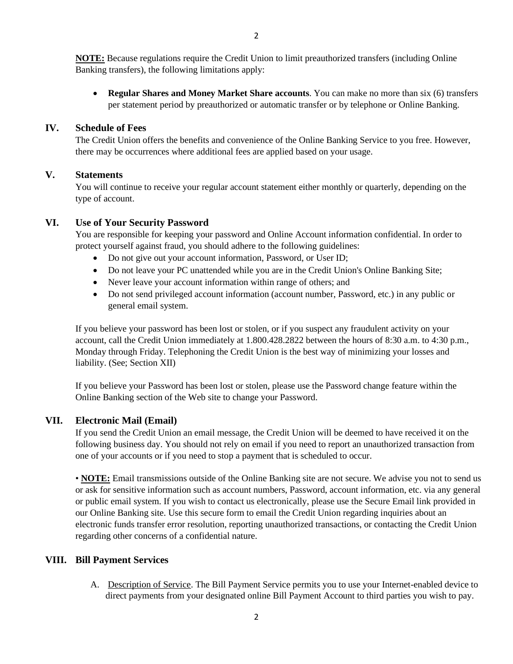2

**NOTE:** Because regulations require the Credit Union to limit preauthorized transfers (including Online Banking transfers), the following limitations apply:

• **Regular Shares and Money Market Share accounts**. You can make no more than six (6) transfers per statement period by preauthorized or automatic transfer or by telephone or Online Banking.

#### **IV. Schedule of Fees**

The Credit Union offers the benefits and convenience of the Online Banking Service to you free. However, there may be occurrences where additional fees are applied based on your usage.

#### **V. Statements**

You will continue to receive your regular account statement either monthly or quarterly, depending on the type of account.

#### **VI. Use of Your Security Password**

You are responsible for keeping your password and Online Account information confidential. In order to protect yourself against fraud, you should adhere to the following guidelines:

- Do not give out your account information, Password, or User ID;
- Do not leave your PC unattended while you are in the Credit Union's Online Banking Site;
- Never leave your account information within range of others; and
- Do not send privileged account information (account number, Password, etc.) in any public or general email system.

If you believe your password has been lost or stolen, or if you suspect any fraudulent activity on your account, call the Credit Union immediately at 1.800.428.2822 between the hours of 8:30 a.m. to 4:30 p.m., Monday through Friday. Telephoning the Credit Union is the best way of minimizing your losses and liability. (See; Section XII)

If you believe your Password has been lost or stolen, please use the Password change feature within the Online Banking section of the Web site to change your Password.

# **VII. Electronic Mail (Email)**

If you send the Credit Union an email message, the Credit Union will be deemed to have received it on the following business day. You should not rely on email if you need to report an unauthorized transaction from one of your accounts or if you need to stop a payment that is scheduled to occur.

• **NOTE:** Email transmissions outside of the Online Banking site are not secure. We advise you not to send us or ask for sensitive information such as account numbers, Password, account information, etc. via any general or public email system. If you wish to contact us electronically, please use the Secure Email link provided in our Online Banking site. Use this secure form to email the Credit Union regarding inquiries about an electronic funds transfer error resolution, reporting unauthorized transactions, or contacting the Credit Union regarding other concerns of a confidential nature.

# **VIII. Bill Payment Services**

A. Description of Service. The Bill Payment Service permits you to use your Internet-enabled device to direct payments from your designated online Bill Payment Account to third parties you wish to pay.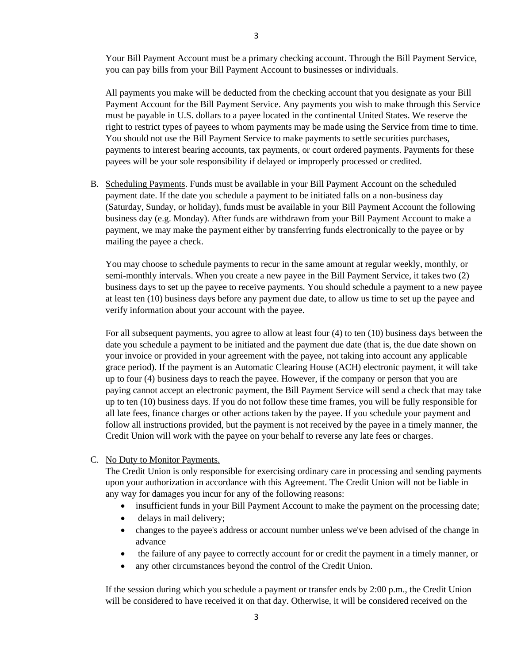Your Bill Payment Account must be a primary checking account. Through the Bill Payment Service, you can pay bills from your Bill Payment Account to businesses or individuals.

All payments you make will be deducted from the checking account that you designate as your Bill Payment Account for the Bill Payment Service. Any payments you wish to make through this Service must be payable in U.S. dollars to a payee located in the continental United States. We reserve the right to restrict types of payees to whom payments may be made using the Service from time to time. You should not use the Bill Payment Service to make payments to settle securities purchases, payments to interest bearing accounts, tax payments, or court ordered payments. Payments for these payees will be your sole responsibility if delayed or improperly processed or credited.

B. Scheduling Payments. Funds must be available in your Bill Payment Account on the scheduled payment date. If the date you schedule a payment to be initiated falls on a non-business day (Saturday, Sunday, or holiday), funds must be available in your Bill Payment Account the following business day (e.g. Monday). After funds are withdrawn from your Bill Payment Account to make a payment, we may make the payment either by transferring funds electronically to the payee or by mailing the payee a check.

You may choose to schedule payments to recur in the same amount at regular weekly, monthly, or semi-monthly intervals. When you create a new payee in the Bill Payment Service, it takes two (2) business days to set up the payee to receive payments. You should schedule a payment to a new payee at least ten (10) business days before any payment due date, to allow us time to set up the payee and verify information about your account with the payee.

For all subsequent payments, you agree to allow at least four (4) to ten (10) business days between the date you schedule a payment to be initiated and the payment due date (that is, the due date shown on your invoice or provided in your agreement with the payee, not taking into account any applicable grace period). If the payment is an Automatic Clearing House (ACH) electronic payment, it will take up to four (4) business days to reach the payee. However, if the company or person that you are paying cannot accept an electronic payment, the Bill Payment Service will send a check that may take up to ten (10) business days. If you do not follow these time frames, you will be fully responsible for all late fees, finance charges or other actions taken by the payee. If you schedule your payment and follow all instructions provided, but the payment is not received by the payee in a timely manner, the Credit Union will work with the payee on your behalf to reverse any late fees or charges.

#### C. No Duty to Monitor Payments.

The Credit Union is only responsible for exercising ordinary care in processing and sending payments upon your authorization in accordance with this Agreement. The Credit Union will not be liable in any way for damages you incur for any of the following reasons:

- insufficient funds in your Bill Payment Account to make the payment on the processing date;
- delays in mail delivery;
- changes to the payee's address or account number unless we've been advised of the change in advance
- the failure of any payee to correctly account for or credit the payment in a timely manner, or
- any other circumstances beyond the control of the Credit Union.

If the session during which you schedule a payment or transfer ends by 2:00 p.m., the Credit Union will be considered to have received it on that day. Otherwise, it will be considered received on the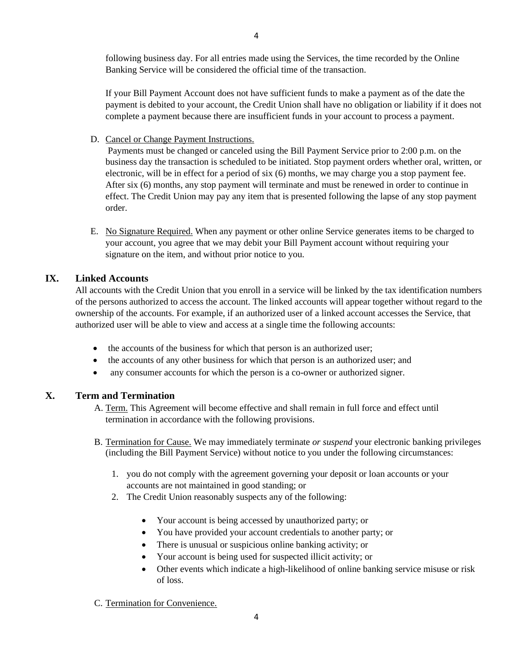following business day. For all entries made using the Services, the time recorded by the Online Banking Service will be considered the official time of the transaction.

If your Bill Payment Account does not have sufficient funds to make a payment as of the date the payment is debited to your account, the Credit Union shall have no obligation or liability if it does not complete a payment because there are insufficient funds in your account to process a payment.

D. Cancel or Change Payment Instructions.

Payments must be changed or canceled using the Bill Payment Service prior to 2:00 p.m. on the business day the transaction is scheduled to be initiated. Stop payment orders whether oral, written, or electronic, will be in effect for a period of six (6) months, we may charge you a stop payment fee. After six (6) months, any stop payment will terminate and must be renewed in order to continue in effect. The Credit Union may pay any item that is presented following the lapse of any stop payment order.

E. No Signature Required. When any payment or other online Service generates items to be charged to your account, you agree that we may debit your Bill Payment account without requiring your signature on the item, and without prior notice to you.

# **IX. Linked Accounts**

All accounts with the Credit Union that you enroll in a service will be linked by the tax identification numbers of the persons authorized to access the account. The linked accounts will appear together without regard to the ownership of the accounts. For example, if an authorized user of a linked account accesses the Service, that authorized user will be able to view and access at a single time the following accounts:

- the accounts of the business for which that person is an authorized user;
- the accounts of any other business for which that person is an authorized user; and
- any consumer accounts for which the person is a co-owner or authorized signer.

# **X. Term and Termination**

- A. Term. This Agreement will become effective and shall remain in full force and effect until termination in accordance with the following provisions.
- B. Termination for Cause. We may immediately terminate *or suspend* your electronic banking privileges (including the Bill Payment Service) without notice to you under the following circumstances:
	- 1. you do not comply with the agreement governing your deposit or loan accounts or your accounts are not maintained in good standing; or
	- 2. The Credit Union reasonably suspects any of the following:
		- Your account is being accessed by unauthorized party; or
		- You have provided your account credentials to another party; or
		- There is unusual or suspicious online banking activity; or
		- Your account is being used for suspected illicit activity; or
		- Other events which indicate a high-likelihood of online banking service misuse or risk of loss.
- C. Termination for Convenience.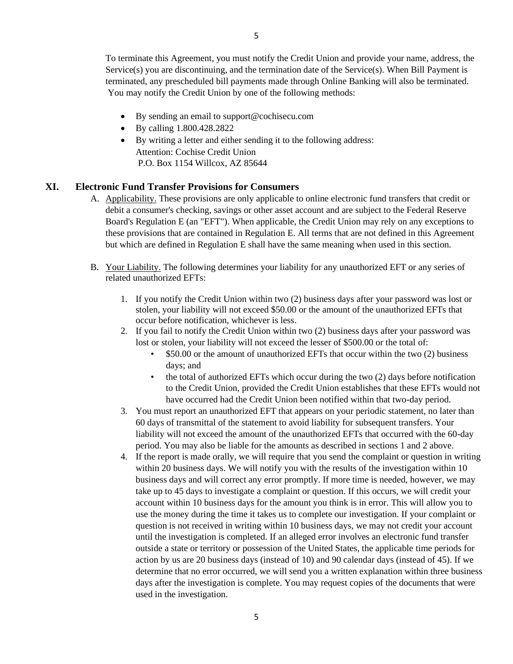To terminate this Agreement, you must notify the Credit Union and provide your name, address, the Service(s) you are discontinuing, and the termination date of the Service(s). When Bill Payment is terminated, any prescheduled bill payments made through Online Banking will also be terminated. You may notify the Credit Union by one of the following methods:

- By sending an email to support@cochisecu.com
- By calling 1.800.428.2822
- By writing a letter and either sending it to the following address: Attention: Cochise Credit Union P.O. Box 1154 Willcox, AZ 85644

#### **XI. Electronic Fund Transfer Provisions for Consumers**

- A. Applicability. These provisions are only applicable to online electronic fund transfers that credit or debit a consumer's checking, savings or other asset account and are subject to the Federal Reserve Board's Regulation E (an "EFT"). When applicable, the Credit Union may rely on any exceptions to these provisions that are contained in Regulation E. All terms that are not defined in this Agreement but which are defined in Regulation E shall have the same meaning when used in this section.
- B. Your Liability. The following determines your liability for any unauthorized EFT or any series of related unauthorized EFTs:
	- 1. If you notify the Credit Union within two (2) business days after your password was lost or stolen, your liability will not exceed \$50.00 or the amount of the unauthorized EFTs that occur before notification, whichever is less.
	- 2. If you fail to notify the Credit Union within two (2) business days after your password was lost or stolen, your liability will not exceed the lesser of \$500.00 or the total of:
		- \$50.00 or the amount of unauthorized EFTs that occur within the two (2) business days; and
		- the total of authorized EFTs which occur during the two (2) days before notification to the Credit Union, provided the Credit Union establishes that these EFTs would not have occurred had the Credit Union been notified within that two-day period.
	- 3. You must report an unauthorized EFT that appears on your periodic statement, no later than 60 days of transmittal of the statement to avoid liability for subsequent transfers. Your liability will not exceed the amount of the unauthorized EFTs that occurred with the 60-day period. You may also be liable for the amounts as described in sections 1 and 2 above.
	- 4. If the report is made orally, we will require that you send the complaint or question in writing within 20 business days. We will notify you with the results of the investigation within 10 business days and will correct any error promptly. If more time is needed, however, we may take up to 45 days to investigate a complaint or question. If this occurs, we will credit your account within 10 business days for the amount you think is in error. This will allow you to use the money during the time it takes us to complete our investigation. If your complaint or question is not received in writing within 10 business days, we may not credit your account until the investigation is completed. If an alleged error involves an electronic fund transfer outside a state or territory or possession of the United States, the applicable time periods for action by us are 20 business days (instead of 10) and 90 calendar days (instead of 45). If we determine that no error occurred, we will send you a written explanation within three business days after the investigation is complete. You may request copies of the documents that were used in the investigation.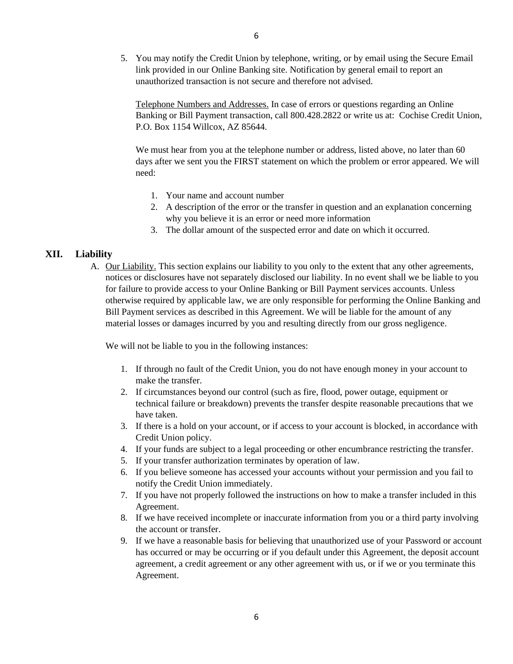5. You may notify the Credit Union by telephone, writing, or by email using the Secure Email link provided in our Online Banking site. Notification by general email to report an unauthorized transaction is not secure and therefore not advised.

Telephone Numbers and Addresses. In case of errors or questions regarding an Online Banking or Bill Payment transaction, call 800.428.2822 or write us at: Cochise Credit Union, P.O. Box 1154 Willcox, AZ 85644.

We must hear from you at the telephone number or address, listed above, no later than 60 days after we sent you the FIRST statement on which the problem or error appeared. We will need:

- 1. Your name and account number
- 2. A description of the error or the transfer in question and an explanation concerning why you believe it is an error or need more information
- 3. The dollar amount of the suspected error and date on which it occurred.

#### **XII. Liability**

A. Our Liability. This section explains our liability to you only to the extent that any other agreements, notices or disclosures have not separately disclosed our liability. In no event shall we be liable to you for failure to provide access to your Online Banking or Bill Payment services accounts. Unless otherwise required by applicable law, we are only responsible for performing the Online Banking and Bill Payment services as described in this Agreement. We will be liable for the amount of any material losses or damages incurred by you and resulting directly from our gross negligence.

We will not be liable to you in the following instances:

- 1. If through no fault of the Credit Union, you do not have enough money in your account to make the transfer.
- 2. If circumstances beyond our control (such as fire, flood, power outage, equipment or technical failure or breakdown) prevents the transfer despite reasonable precautions that we have taken.
- 3. If there is a hold on your account, or if access to your account is blocked, in accordance with Credit Union policy.
- 4. If your funds are subject to a legal proceeding or other encumbrance restricting the transfer.
- 5. If your transfer authorization terminates by operation of law.
- 6. If you believe someone has accessed your accounts without your permission and you fail to notify the Credit Union immediately.
- 7. If you have not properly followed the instructions on how to make a transfer included in this Agreement.
- 8. If we have received incomplete or inaccurate information from you or a third party involving the account or transfer.
- 9. If we have a reasonable basis for believing that unauthorized use of your Password or account has occurred or may be occurring or if you default under this Agreement, the deposit account agreement, a credit agreement or any other agreement with us, or if we or you terminate this Agreement.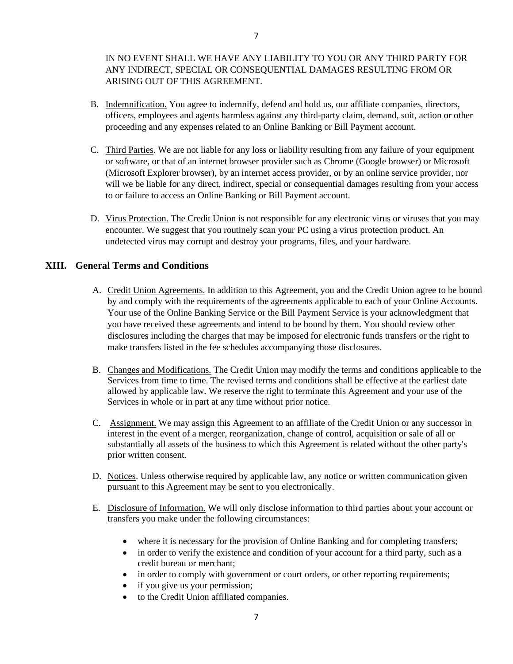# IN NO EVENT SHALL WE HAVE ANY LIABILITY TO YOU OR ANY THIRD PARTY FOR ANY INDIRECT, SPECIAL OR CONSEQUENTIAL DAMAGES RESULTING FROM OR ARISING OUT OF THIS AGREEMENT.

- B. Indemnification. You agree to indemnify, defend and hold us, our affiliate companies, directors, officers, employees and agents harmless against any third-party claim, demand, suit, action or other proceeding and any expenses related to an Online Banking or Bill Payment account.
- C. Third Parties. We are not liable for any loss or liability resulting from any failure of your equipment or software, or that of an internet browser provider such as Chrome (Google browser) or Microsoft (Microsoft Explorer browser), by an internet access provider, or by an online service provider, nor will we be liable for any direct, indirect, special or consequential damages resulting from your access to or failure to access an Online Banking or Bill Payment account.
- D. Virus Protection. The Credit Union is not responsible for any electronic virus or viruses that you may encounter. We suggest that you routinely scan your PC using a virus protection product. An undetected virus may corrupt and destroy your programs, files, and your hardware.

# **XIII. General Terms and Conditions**

- A. Credit Union Agreements. In addition to this Agreement, you and the Credit Union agree to be bound by and comply with the requirements of the agreements applicable to each of your Online Accounts. Your use of the Online Banking Service or the Bill Payment Service is your acknowledgment that you have received these agreements and intend to be bound by them. You should review other disclosures including the charges that may be imposed for electronic funds transfers or the right to make transfers listed in the fee schedules accompanying those disclosures.
- B. Changes and Modifications. The Credit Union may modify the terms and conditions applicable to the Services from time to time. The revised terms and conditions shall be effective at the earliest date allowed by applicable law. We reserve the right to terminate this Agreement and your use of the Services in whole or in part at any time without prior notice.
- C. Assignment. We may assign this Agreement to an affiliate of the Credit Union or any successor in interest in the event of a merger, reorganization, change of control, acquisition or sale of all or substantially all assets of the business to which this Agreement is related without the other party's prior written consent.
- D. Notices. Unless otherwise required by applicable law, any notice or written communication given pursuant to this Agreement may be sent to you electronically.
- E. Disclosure of Information. We will only disclose information to third parties about your account or transfers you make under the following circumstances:
	- where it is necessary for the provision of Online Banking and for completing transfers;
	- in order to verify the existence and condition of your account for a third party, such as a credit bureau or merchant;
	- in order to comply with government or court orders, or other reporting requirements;
	- if you give us your permission;
	- to the Credit Union affiliated companies.